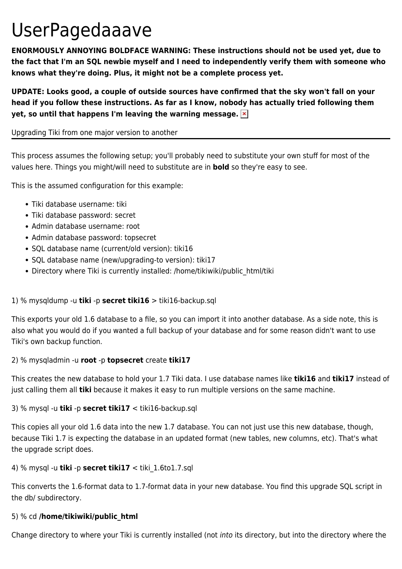# UserPagedaaave

**ENORMOUSLY ANNOYING BOLDFACE WARNING: These instructions should not be used yet, due to the fact that I'm an SQL newbie myself and I need to independently verify them with someone who knows what they're doing. Plus, it might not be a complete process yet.**

**UPDATE: Looks good, a couple of outside sources have confirmed that the sky won't fall on your head if you follow these instructions. As far as I know, nobody has actually tried following them yet, so until that happens I'm leaving the warning message.** 

### Upgrading Tiki from one major version to another

This process assumes the following setup; you'll probably need to substitute your own stuff for most of the values here. Things you might/will need to substitute are in **bold** so they're easy to see.

This is the assumed configuration for this example:

- Tiki database username: tiki
- Tiki database password: secret
- Admin database username: root
- Admin database password: topsecret
- SQL database name (current/old version): tiki16
- SQL database name (new/upgrading-to version): tiki17
- Directory where Tiki is currently installed: /home/tikiwiki/public\_html/tiki

## 1) % mysqldump -u **tiki** -p **secret tiki16** > tiki16-backup.sql

This exports your old 1.6 database to a file, so you can import it into another database. As a side note, this is also what you would do if you wanted a full backup of your database and for some reason didn't want to use Tiki's own backup function.

#### 2) % mysqladmin -u **root** -p **topsecret** create **tiki17**

This creates the new database to hold your 1.7 Tiki data. I use database names like **tiki16** and **tiki17** instead of just calling them all **tiki** because it makes it easy to run multiple versions on the same machine.

#### 3) % mysql -u **tiki** -p **secret tiki17** < tiki16-backup.sql

This copies all your old 1.6 data into the new 1.7 database. You can not just use this new database, though, because Tiki 1.7 is expecting the database in an updated format (new tables, new columns, etc). That's what the upgrade script does.

#### 4) % mysql -u **tiki** -p **secret tiki17** < tiki\_1.6to1.7.sql

This converts the 1.6-format data to 1.7-format data in your new database. You find this upgrade SQL script in the db/ subdirectory.

#### 5) % cd **/home/tikiwiki/public\_html**

Change directory to where your Tiki is currently installed (not into its directory, but into the directory where the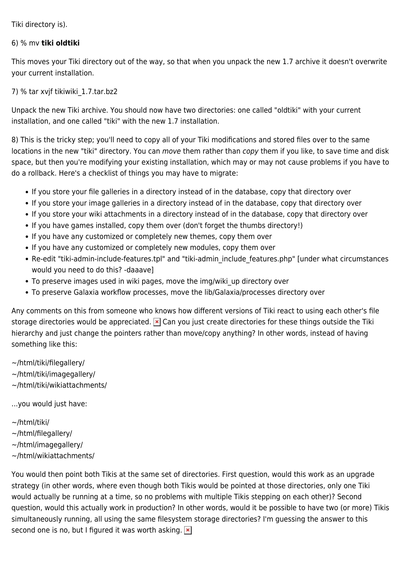Tiki directory is).

#### 6) % mv **tiki oldtiki**

This moves your Tiki directory out of the way, so that when you unpack the new 1.7 archive it doesn't overwrite your current installation.

7) % tar xvjf tikiwiki\_1.7.tar.bz2

Unpack the new Tiki archive. You should now have two directories: one called "oldtiki" with your current installation, and one called "tiki" with the new 1.7 installation.

8) This is the tricky step; you'll need to copy all of your Tiki modifications and stored files over to the same locations in the new "tiki" directory. You can move them rather than copy them if you like, to save time and disk space, but then you're modifying your existing installation, which may or may not cause problems if you have to do a rollback. Here's a checklist of things you may have to migrate:

- If you store your file galleries in a directory instead of in the database, copy that directory over
- If you store your image galleries in a directory instead of in the database, copy that directory over
- If you store your wiki attachments in a directory instead of in the database, copy that directory over
- If you have games installed, copy them over (don't forget the thumbs directory!)
- If you have any customized or completely new themes, copy them over
- If you have any customized or completely new modules, copy them over
- Re-edit "tiki-admin-include-features.tpl" and "tiki-admin include features.php" [under what circumstances would you need to do this? -daaave]
- To preserve images used in wiki pages, move the img/wiki up directory over
- To preserve Galaxia workflow processes, move the lib/Galaxia/processes directory over

Any comments on this from someone who knows how different versions of Tiki react to using each other's file storage directories would be appreciated.  $\overline{X}$  Can you just create directories for these things outside the Tiki hierarchy and just change the pointers rather than move/copy anything? In other words, instead of having something like this:

~/html/tiki/filegallery/

- ~/html/tiki/imagegallery/
- ~/html/tiki/wikiattachments/

...you would just have:

- ~/html/tiki/
- ~/html/filegallery/
- ~/html/imagegallery/
- ~/html/wikiattachments/

You would then point both Tikis at the same set of directories. First question, would this work as an upgrade strategy (in other words, where even though both Tikis would be pointed at those directories, only one Tiki would actually be running at a time, so no problems with multiple Tikis stepping on each other)? Second question, would this actually work in production? In other words, would it be possible to have two (or more) Tikis simultaneously running, all using the same filesystem storage directories? I'm guessing the answer to this second one is no, but I figured it was worth asking.  $\vert \mathbf{x} \vert$